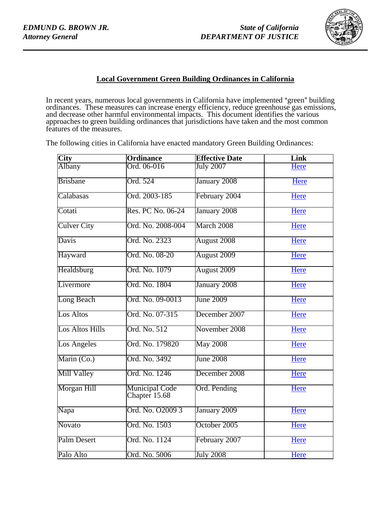

### **Local Government Green Building Ordinances in California**

In recent years, numerous local governments in California have implemented "green" building ordinances. These measures can increase energy efficiency, reduce greenhouse gas emissions, and decrease other harmful environmental impacts. This document identifies the various approaches to green building ordinances that jurisdictions have taken and the most common features of the measures.

The following cities in California have enacted mandatory Green Building Ordinances:

| <b>City</b>            | <b>Ordinance</b>                       | <b>Effective Date</b> | Link        |
|------------------------|----------------------------------------|-----------------------|-------------|
| <b>Albany</b>          | Ord. 06-016                            | <b>July 2007</b>      | Here        |
| <b>Brisbane</b>        | Ord. 524                               | January 2008          | Here        |
| Calabasas              | Ord. 2003-185                          | February 2004         | Here        |
| Cotati                 | Res. PC No. 06-24                      | January 2008          | Here        |
| <b>Culver City</b>     | Ord. No. 2008-004                      | March 2008            | Here        |
| Davis                  | Ord. No. 2323                          | August 2008           | Here        |
| Hayward                | Ord. No. 08-20                         | August 2009           | Here        |
| Healdsburg             | Ord. No. 1079                          | August 2009           | Here        |
| Livermore              | Ord. No. 1804                          | January 2008          | Here        |
| Long Beach             | Ord. No. 09-0013                       | <b>June 2009</b>      | <b>Here</b> |
| Los Altos              | Ord. No. 07-315                        | December 2007         | Here        |
| <b>Los Altos Hills</b> | Ord. No. 512                           | November 2008         | Here        |
| <b>Los Angeles</b>     | Ord. No. 179820                        | <b>May 2008</b>       | Here        |
| Marin (Co.)            | Ord. No. 3492                          | June 2008             | Here        |
| <b>Mill Valley</b>     | Ord. No. 1246                          | December 2008         | Here        |
| Morgan Hill            | <b>Municipal Code</b><br>Chapter 15.68 | Ord. Pending          | Here        |
| Napa                   | Ord. No. O2009 3                       | January 2009          | Here        |
| Novato                 | Ord. No. 1503                          | October 2005          | Here        |
| <b>Palm Desert</b>     | Ord. No. 1124                          | February 2007         | Here        |
| Palo Alto              | Ord. No. 5006                          | <b>July 2008</b>      | <b>Here</b> |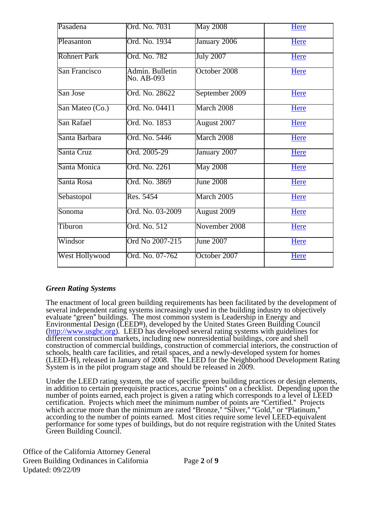| Pasadena            | Ord. No. 7031                 | <b>May 2008</b>  | Here        |
|---------------------|-------------------------------|------------------|-------------|
| Pleasanton          | Ord. No. 1934                 | January 2006     | Here        |
| <b>Rohnert Park</b> | Ord. No. 782                  | <b>July 2007</b> | Here        |
| San Francisco       | Admin. Bulletin<br>No. AB-093 | October 2008     | Here        |
| San Jose            | Ord. No. 28622                | September 2009   | Here        |
| San Mateo (Co.)     | Ord. No. 04411                | March 2008       | Here        |
| San Rafael          | Ord. No. 1853                 | August 2007      | <b>Here</b> |
| Santa Barbara       | Ord. No. 5446                 | March 2008       | Here        |
| Santa Cruz          | Ord. 2005-29                  | January 2007     | Here        |
| Santa Monica        | Ord. No. 2261                 | <b>May 2008</b>  | <b>Here</b> |
| Santa Rosa          | Ord. No. 3869                 | June 2008        | <b>Here</b> |
| Sebastopol          | Res. 5454                     | March 2005       | Here        |
| Sonoma              | Ord. No. 03-2009              | August 2009      | Here        |
| Tiburon             | Ord. No. 512                  | November 2008    | Here        |
| Windsor             | Ord No 2007-215               | June 2007        | <b>Here</b> |
| West Hollywood      | Ord. No. 07-762               | October 2007     | Here        |

# *Green Rating Systems*

The enactment of local green building requirements has been facilitated by the development of several independent rating systems increasingly used in the building industry to objectively evaluate "green" buildings. The most common system is Leadership in Energy and Environmental Design (LEED®), developed by the United States Green Building Council ([http://www.usgbc.org\)](http://www.usgbc.org/). LEED has developed several rating systems with guidelines for different construction markets, including new nonresidential buildings, core and shell construction of commercial buildings, construction of commercial interiors, the construction of schools, health care facilities, and retail spaces, and a newly-developed system for homes (LEED-H), released in January of 2008. The LEED for the Neighborhood Development Rating System is in the pilot program stage and should be released in 2009.

Under the LEED rating system, the use of specific green building practices or design elements, in addition to certain prerequisite practices, accrue "points" on a checklist. Depending upon the number of points earned, each project is given a rating which corresponds to a level of LEED certification. Projects which meet the minimum number of points are "Certified." Projects which accrue more than the minimum are rated "Bronze," "Silver," "Gold," or "Platinum," according to the number of points earned. Most cities require some level LEED-equivalent according to the number of points earned. Most cities require some level LEED-equivalent performance for some types of buildings, but do not require registration with the United States Green Building Council.

Office of the California Attorney General Green Building Ordinances in California Page **2** of **9**  Updated: 09/22/09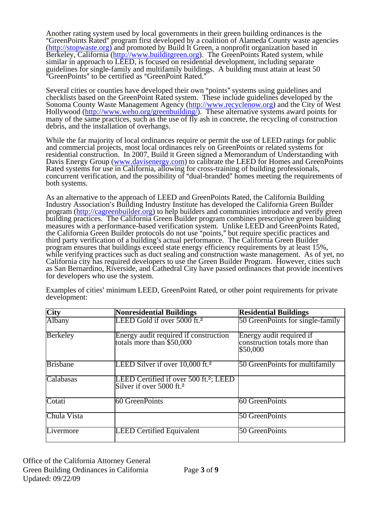Ĭ Another rating system used by local governments in their green building ordinances is the "GreenPoints Rated" program first developed by a coalition of Alameda County waste agencies ([http://stopwaste.org](http://stopwaste.org/)) and promoted by Build It Green, a nonprofit organization based in Berkeley, California [\(http://www.builditgreen.org](http://www.builditgreen.org/)). The GreenPoints Rated system, while similar in approach to LEED, is focused on residential development, including separate guidelines for single-family and multifamily buildings. A building must attain at least 50 "GreenPoints" to be certified as "GreenPoint Rated."

Several cities or counties have developed their own "points" systems using guidelines and checklists based on the GreenPoint Rated system. These include guidelines developed by the Sonoma County Waste Management Agency ([http://www.recyclenow.org\)](http://www.recyclenow.org/) and the City of West Hollywood (<http://www.weho.org/greenbuilding/>). These alternative systems award points for many of the same practices, such as the use of fly ash in concrete, the recycling of construction debris, and the installation of overhangs.

While the far majority of local ordinances require or permit the use of LEED ratings for public and commercial projects, most local ordinances rely on GreenPoints or related systems for residential construction. In 2007, Build it Green signed a Memorandum of Understanding with Davis Energy Group (www.davisenergy.com) to calibrate the LEED for Homes and GreenPoints Rated systems for use in California, allowing for cross-training of building professionals, concurrent verification, and the possibility of "dual-branded" homes meeting the requirements of both systems.

As an alternative to the approach of LEED and GreenPoints Rated, the California Building Industry Association's Building Industry Institute has developed the California Green Builder program ([http://cagreenbuilder.org\)](http://cagreenbuilder.org/) to help builders and communities introduce and verify green building practices. The California Green Builder program combines prescriptive green building measures with a performance-based verification system. Unlike LEED and GreenPoints Rated, the California Green Builder protocols do not use "points," but require specific practices and third party verification of a building's actual performance. The California Green Builder program ensures that buildings exceed state energy efficiency requirements by at least 15%, while verifying practices such as duct sealing and construction waste management. As of yet, no California city has required developers to use the Green Builder Program. However, cities such as San Bernardino, Riverside, and Cathedral City have passed ordinances that provide incentives for developers who use the system.

Examples of cities' minimum LEED, GreenPoint Rated, or other point requirements for private development:

| <b>City</b>     | <b>Nonresidential Buildings</b>                                                            | <b>Residential Buildings</b>                                          |
|-----------------|--------------------------------------------------------------------------------------------|-----------------------------------------------------------------------|
| Albany          | LEED Gold if over 5000 ft. <sup>2</sup>                                                    | 50 GreenPoints for single-family                                      |
| <b>Berkeley</b> | Energy audit required if construction<br>totals more than \$50,000                         | Energy audit required if<br>construction totals more than<br>\$50,000 |
| <b>Brisbane</b> | LEED Silver if over 10,000 ft. <sup>2</sup>                                                | 50 GreenPoints for multifamily                                        |
| Calabasas       | LEED Certified if over 500 ft. <sup>2</sup> ; LEED<br>Silver if over 5000 ft. <sup>2</sup> |                                                                       |
| Cotati          | 60 GreenPoints                                                                             | 60 GreenPoints                                                        |
| Chula Vista     |                                                                                            | 50 GreenPoints                                                        |
| Livermore       | <b>LEED Certified Equivalent</b>                                                           | 50 GreenPoints                                                        |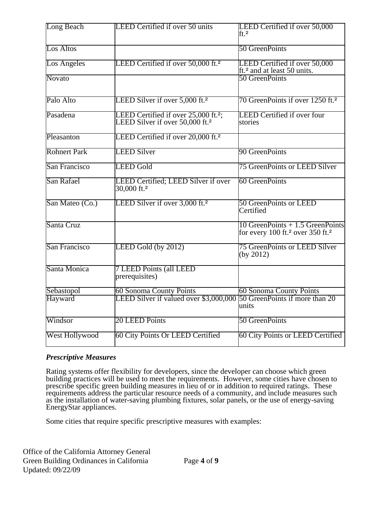| Long Beach          | <b>LEED Certified if over 50 units</b>                                                          | LEED Certified if over 50,000                                                                 |
|---------------------|-------------------------------------------------------------------------------------------------|-----------------------------------------------------------------------------------------------|
|                     |                                                                                                 | ft <sub>2</sub>                                                                               |
| <b>Los Altos</b>    |                                                                                                 | 50 GreenPoints                                                                                |
| <b>Los Angeles</b>  | LEED Certified if over 50,000 ft. <sup>2</sup>                                                  | LEED Certified if over 50,000<br>ft. <sup>2</sup> and at least 50 units.                      |
| <b>Novato</b>       |                                                                                                 | 50 GreenPoints                                                                                |
| Palo Alto           | LEED Silver if over 5,000 ft. <sup>2</sup>                                                      | 70 GreenPoints if over 1250 ft. <sup>2</sup>                                                  |
| Pasadena            | LEED Certified if over 25,000 ft. <sup>2</sup> ;<br>LEED Silver if over 50,000 ft. <sup>2</sup> | <b>LEED</b> Certified if over four<br>stories                                                 |
| Pleasanton          | LEED Certified if over 20,000 ft. <sup>2</sup>                                                  |                                                                                               |
| <b>Rohnert Park</b> | <b>LEED Silver</b>                                                                              | 90 GreenPoints                                                                                |
| San Francisco       | <b>LEED Gold</b>                                                                                | <b>75 GreenPoints or LEED Silver</b>                                                          |
| San Rafael          | LEED Certified; LEED Silver if over<br>30,000 ft. <sup>2</sup>                                  | 60 GreenPoints                                                                                |
| San Mateo (Co.)     | LEED Silver if over 3,000 ft. <sup>2</sup>                                                      | 50 GreenPoints or LEED<br>Certified                                                           |
| Santa Cruz          |                                                                                                 | 10 GreenPoints $+1.5$ GreenPoints<br>for every 100 ft. <sup>2</sup> over 350 ft. <sup>2</sup> |
| San Francisco       | LEED Gold (by $2012$ )                                                                          | <b>75 GreenPoints or LEED Silver</b><br>(by 2012)                                             |
| Santa Monica        | <b>7 LEED Points (all LEED)</b><br>prerequisites)                                               |                                                                                               |
| Sebastopol          | <b>60 Sonoma County Points</b>                                                                  | 60 Sonoma County Points                                                                       |
| Hayward             | LEED Silver if valued over \$3,000,000 50 GreenPoints if more than 20                           | units                                                                                         |
| Windsor             | 20 LEED Points                                                                                  | 50 GreenPoints                                                                                |
| West Hollywood      | 60 City Points Or LEED Certified                                                                | 60 City Points or LEED Certified                                                              |

# *Prescriptive Measures*

Rating systems offer flexibility for developers, since the developer can choose which green building practices will be used to meet the requirements. However, some cities have chosen to prescribe specific green building measures in lieu of or in addition to required ratings. These requirements address the particular resource needs of a community, and include measures such as the installation of water-saving plumbing fixtures, solar panels, or the use of energy-saving EnergyStar appliances.

Some cities that require specific prescriptive measures with examples:

Office of the California Attorney General Green Building Ordinances in California Page **4** of **9**  Updated: 09/22/09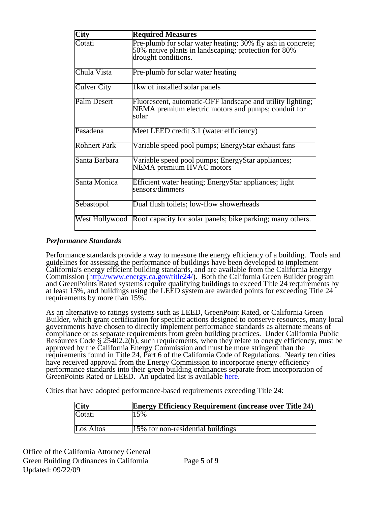| <b>City</b>         | <b>Required Measures</b>                                                                                                                   |
|---------------------|--------------------------------------------------------------------------------------------------------------------------------------------|
| Cotati              | Pre-plumb for solar water heating; 30% fly ash in concrete;<br>50% native plants in landscaping; protection for 80%<br>drought conditions. |
| Chula Vista         | Pre-plumb for solar water heating                                                                                                          |
| <b>Culver City</b>  | 1kw of installed solar panels                                                                                                              |
| <b>Palm Desert</b>  | Fluorescent, automatic-OFF landscape and utility lighting;<br>NEMA premium electric motors and pumps; conduit for<br>solar                 |
| Pasadena            | Meet LEED credit 3.1 (water efficiency)                                                                                                    |
| <b>Rohnert Park</b> | Variable speed pool pumps; EnergyStar exhaust fans                                                                                         |
| Santa Barbara       | Variable speed pool pumps; EnergyStar appliances;<br>NEMA premium HVAC motors                                                              |
| Santa Monica        | Efficient water heating; EnergyStar appliances; light<br>sensors/dimmers                                                                   |
| Sebastopol          | Dual flush toilets; low-flow showerheads                                                                                                   |
|                     | West Hollywood Roof capacity for solar panels; bike parking; many others.                                                                  |

# *Performance Standards*

Performance standards provide a way to measure the energy efficiency of a building. Tools and guidelines for assessing the performance of buildings have been developed to implement California's energy efficient building standards, and are available from the California Energy Commission (<http://www.energy.ca.gov/title24/>). Both the California Green Builder program and GreenPoints Rated systems require qualifying buildings to exceed Title 24 requirements by at least 15%, and buildings using the LEED system are awarded points for exceeding Title 24 requirements by more than 15%.

As an alternative to ratings systems such as LEED, GreenPoint Rated, or California Green Builder, which grant certification for specific actions designed to conserve resources, many local governments have chosen to directly implement performance standards as alternate means of compliance or as separate requirements from green building practices. Under California Public Resources Code  $\S 25402.2(h)$ , such requirements, when they relate to energy efficiency, must be approved by the California Energy Commission and must be more stringent than the requirements found in Title 24, Part 6 of the California Code of Regulations. Nearly ten cities have received approval from the Energy Commission to incorporate energy efficiency performance standards into their green building ordinances separate from incorporation of GreenPoints Rated or LEED. An updated list is available [here.](http://energy.ca.gov/title24/2005standards/ordinances_exceeding_2005_building_standards.html)

Cities that have adopted performance-based requirements exceeding Title 24:

| <b>City</b> | <b>Energy Efficiency Requirement (increase over Title 24)</b> |
|-------------|---------------------------------------------------------------|
| Cotati      | 15%                                                           |
|             |                                                               |
| Los Altos   | 15% for non-residential buildings                             |

Office of the California Attorney General Green Building Ordinances in California Page **5** of **9**  Updated: 09/22/09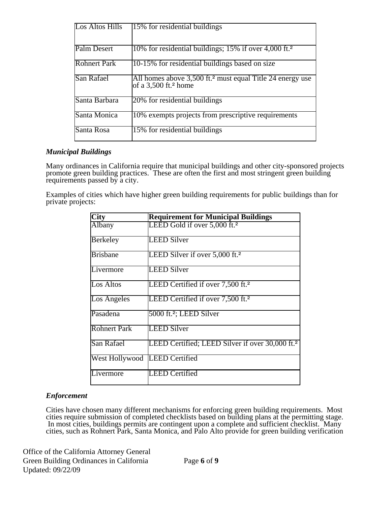| Los Altos Hills     | 15% for residential buildings                                                                             |
|---------------------|-----------------------------------------------------------------------------------------------------------|
|                     |                                                                                                           |
| Palm Desert         | 10% for residential buildings; 15% if over 4,000 ft. <sup>2</sup>                                         |
| <b>Rohnert Park</b> | 10-15% for residential buildings based on size                                                            |
| San Rafael          | All homes above 3,500 ft. <sup>2</sup> must equal Title 24 energy use<br>of a 3,500 ft. <sup>2</sup> home |
| Santa Barbara       | 20% for residential buildings                                                                             |
| Santa Monica        | 10% exempts projects from prescriptive requirements                                                       |
| Santa Rosa          | 15% for residential buildings                                                                             |

# *Municipal Buildings*

Many ordinances in California require that municipal buildings and other city-sponsored projects promote green building practices. These are often the first and most stringent green building requirements passed by a city.

Examples of cities which have higher green building requirements for public buildings than for private projects:

| <b>City</b>                     | <b>Requirement for Municipal Buildings</b>                  |
|---------------------------------|-------------------------------------------------------------|
| Albany                          | LEED Gold if over $5,000$ ft. <sup>2</sup>                  |
| Berkeley                        | <b>LEED Silver</b>                                          |
| <b>Brisbane</b>                 | LEED Silver if over $5,000$ ft. <sup>2</sup>                |
| Livermore                       | <b>LEED Silver</b>                                          |
| Los Altos                       | LEED Certified if over 7,500 ft. <sup>2</sup>               |
| $\overline{\text{Los Angeles}}$ | LEED Certified if over 7,500 ft. <sup>2</sup>               |
| Pasadena                        | 5000 ft. <sup>2</sup> ; LEED Silver                         |
| <b>Rohnert Park</b>             | <b>LEED Silver</b>                                          |
| San Rafael                      | LEED Certified; LEED Silver if over 30,000 ft. <sup>2</sup> |
| West Hollywood                  | <b>LEED</b> Certified                                       |
| Livermore                       | <b>LEED</b> Certified                                       |

# *Enforcement*

Cities have chosen many different mechanisms for enforcing green building requirements. Most cities require submission of completed checklists based on building plans at the permitting stage. In most cities, buildings permits are contingent upon a complete and sufficient checklist. Many cities, such as Rohnert Park, Santa Monica, and Palo Alto provide for green building verification

Office of the California Attorney General Green Building Ordinances in California Page **6** of **9**  Updated: 09/22/09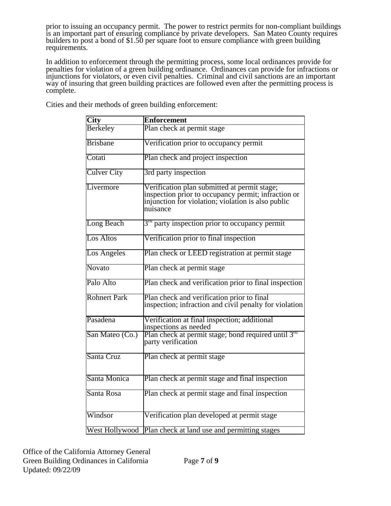prior to issuing an occupancy permit. The power to restrict permits for non-compliant buildings is an important part of ensuring compliance by private developers. San Mateo County requires builders to post a bond of \$1.50 per square foot to ensure compliance with green building requirements.

In addition to enforcement through the permitting process, some local ordinances provide for penalties for violation of a green building ordinance. Ordinances can provide for infractions or injunctions for violators, or even civil penalties. Criminal and civil sanctions are an important way of insuring that green building practices are followed even after the permitting process is complete.

| City                | <b>Enforcement</b>                                                                                                                                                    |
|---------------------|-----------------------------------------------------------------------------------------------------------------------------------------------------------------------|
| <b>Berkeley</b>     | Plan check at permit stage                                                                                                                                            |
| <b>Brisbane</b>     | Verification prior to occupancy permit                                                                                                                                |
| Cotati              | Plan check and project inspection                                                                                                                                     |
| <b>Culver City</b>  | 3rd party inspection                                                                                                                                                  |
| Livermore           | Verification plan submitted at permit stage;<br>inspection prior to occupancy permit; infraction or<br>injunction for violation; violation is also public<br>nuisance |
| Long Beach          | 3 <sup>rd</sup> party inspection prior to occupancy permit                                                                                                            |
| <b>Los Altos</b>    | Verification prior to final inspection                                                                                                                                |
| Los Angeles         | Plan check or LEED registration at permit stage                                                                                                                       |
| <b>Novato</b>       | Plan check at permit stage                                                                                                                                            |
| Palo Alto           | Plan check and verification prior to final inspection                                                                                                                 |
| <b>Rohnert Park</b> | Plan check and verification prior to final<br>inspection; infraction and civil penalty for violation                                                                  |
| Pasadena            | Verification at final inspection; additional<br>inspections as needed                                                                                                 |
| San Mateo (Co.)     | Plan check at permit stage; bond required until 3 <sup>rd</sup><br>party verification                                                                                 |
| Santa Cruz          | Plan check at permit stage                                                                                                                                            |
| Santa Monica        | Plan check at permit stage and final inspection                                                                                                                       |
| Santa Rosa          | Plan check at permit stage and final inspection                                                                                                                       |
| Windsor             | Verification plan developed at permit stage                                                                                                                           |
| West Hollywood      | Plan check at land use and permitting stages                                                                                                                          |

Cities and their methods of green building enforcement: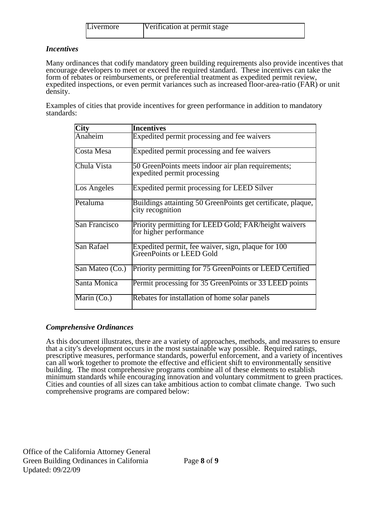| Livermore | Verification at permit stage |  |
|-----------|------------------------------|--|
|           |                              |  |

### *Incentives*

Many ordinances that codify mandatory green building requirements also provide incentives that encourage developers to meet or exceed the required standard. These incentives can take the form of rebates or reimbursements, or preferential treatment as expedited permit review, expedited inspections, or even permit variances such as increased floor-area-ratio (FAR) or unit density.

Examples of cities that provide incentives for green performance in addition to mandatory standards:

| City            | <b>Incentives</b>                                                                  |
|-----------------|------------------------------------------------------------------------------------|
| Anaheim         | Expedited permit processing and fee waivers                                        |
| $Costa$ Mesa    | Expedited permit processing and fee waivers                                        |
| Chula Vista     | 50 Green Points meets indoor air plan requirements;<br>expedited permit processing |
| Los Angeles     | Expedited permit processing for LEED Silver                                        |
| Petaluma        | Buildings attainting 50 GreenPoints get certificate, plaque,<br>city recognition   |
| San Francisco   | Priority permitting for LEED Gold; FAR/height waivers<br>for higher performance    |
| San Rafael      | Expedited permit, fee waiver, sign, plaque for 100<br>GreenPoints or LEED Gold     |
| San Mateo (Co.) | Priority permitting for 75 GreenPoints or LEED Certified                           |
| Santa Monica    | Permit processing for 35 GreenPoints or 33 LEED points                             |
| Marin $(Co.)$   | Rebates for installation of home solar panels                                      |

# *Comprehensive Ordinances*

As this document illustrates, there are a variety of approaches, methods, and measures to ensure that a city's development occurs in the most sustainable way possible. Required ratings, prescriptive measures, performance standards, powerful enforcement, and a variety of incentives can all work together to promote the effective and efficient shift to environmentally sensitive building. The most comprehensive programs combine all of these elements to establish minimum standards while encouraging innovation and voluntary commitment to green practices. Cities and counties of all sizes can take ambitious action to combat climate change. Two such comprehensive programs are compared below: